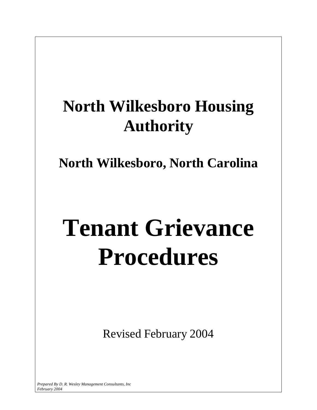# **North Wilkesboro Housing Authority**

**North Wilkesboro, North Carolina** 

# **Tenant Grievance Procedures**

Revised February 2004

*Prepared By D. R. Wesley Management Consultants, Inc February 2004*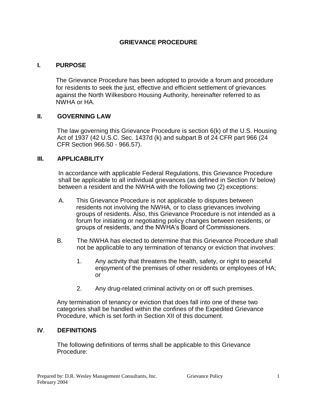# **GRIEVANCE PROCEDURE**

#### **I. PURPOSE**

The Grievance Procedure has been adopted to provide a forum and procedure for residents to seek the just, effective and efficient settlement of grievances against the North Wilkesboro Housing Authority, hereinafter referred to as NWHA or HA.

#### **II. GOVERNING LAW**

The law governing this Grievance Procedure is section 6(k) of the U.S. Housing Act of 1937 (42 U.S.C. Sec. 1437d (k) and subpart B of 24 CFR part 966 (24 CFR Section 966.50 - 966.57).

#### **III. APPLICABILITY**

In accordance with applicable Federal Regulations, this Grievance Procedure shall be applicable to all individual grievances (as defined in Section IV below) between a resident and the NWHA with the following two (2) exceptions:

- A. This Grievance Procedure is not applicable to disputes between residents not involving the NWHA, or to class grievances involving groups of residents. Also, this Grievance Procedure is not intended as a forum for initiating or negotiating policy changes between residents, or groups of residents, and the NWHA's Board of Commissioners.
- B. The NWHA has elected to determine that this Grievance Procedure shall not be applicable to any termination of tenancy or eviction that involves:
	- 1. Any activity that threatens the health, safety, or right to peaceful enjoyment of the premises of other residents or employees of HA; or
	- 2. Any drug-related criminal activity on or off such premises.

Any termination of tenancy or eviction that does fall into one of these two categories shall be handled within the confines of the Expedited Grievance Procedure, which is set forth in Section XII of this document.

#### **IV**. **DEFINITIONS**

The following definitions of terms shall be applicable to this Grievance Procedure: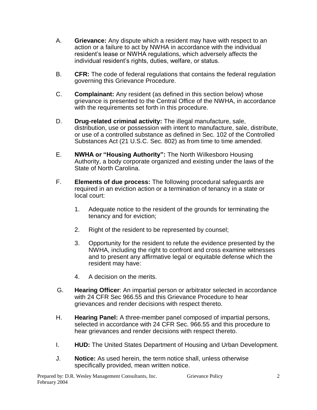- A. **Grievance:** Any dispute which a resident may have with respect to an action or a failure to act by NWHA in accordance with the individual resident's lease or NWHA regulations, which adversely affects the individual resident's rights, duties, welfare, or status.
- B. **CFR:** The code of federal regulations that contains the federal regulation governing this Grievance Procedure.
- C. **Complainant:** Any resident (as defined in this section below) whose grievance is presented to the Central Office of the NWHA, in accordance with the requirements set forth in this procedure.
- D. **Drug-related criminal activity:** The illegal manufacture, sale, distribution, use or possession with intent to manufacture, sale, distribute, or use of a controlled substance as defined in Sec. 102 of the Controlled Substances Act (21 U.S.C. Sec. 802) as from time to time amended.
- E. **NWHA or "Housing Authority":** The North Wilkesboro Housing Authority, a body corporate organized and existing under the laws of the State of North Carolina.
- F. **Elements of due process:** The following procedural safeguards are required in an eviction action or a termination of tenancy in a state or local court:
	- 1. Adequate notice to the resident of the grounds for terminating the tenancy and for eviction;
	- 2. Right of the resident to be represented by counsel;
	- 3. Opportunity for the resident to refute the evidence presented by the NWHA, including the right to confront and cross examine witnesses and to present any affirmative legal or equitable defense which the resident may have:
	- 4. A decision on the merits.
- G. **Hearing Officer**: An impartial person or arbitrator selected in accordance with 24 CFR Sec 966.55 and this Grievance Procedure to hear grievances and render decisions with respect thereto.
- H. **Hearing Panel:** A three-member panel composed of impartial persons, selected in accordance with 24 CFR Sec. 966.55 and this procedure to hear grievances and render decisions with respect thereto.
- I. **HUD:** The United States Department of Housing and Urban Development.
- J. **Notice:** As used herein, the term notice shall, unless otherwise specifically provided, mean written notice.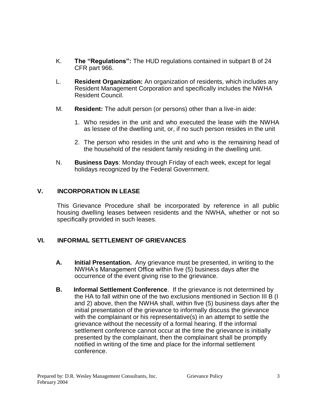- K. **The "Regulations":** The HUD regulations contained in subpart B of 24 CFR part 966.
- L. **Resident Organization:** An organization of residents, which includes any Resident Management Corporation and specifically includes the NWHA Resident Council.
- M. **Resident:** The adult person (or persons) other than a live-in aide:
	- 1. Who resides in the unit and who executed the lease with the NWHA as lessee of the dwelling unit, or, if no such person resides in the unit
	- 2. The person who resides in the unit and who is the remaining head of the household of the resident family residing in the dwelling unit.
- N. **Business Days**: Monday through Friday of each week, except for legal holidays recognized by the Federal Government.

# **V. INCORPORATION IN LEASE**

This Grievance Procedure shall be incorporated by reference in all public housing dwelling leases between residents and the NWHA, whether or not so specifically provided in such leases.

#### **VI. INFORMAL SETTLEMENT OF GRIEVANCES**

- **A. Initial Presentation.** Any grievance must be presented, in writing to the NWHA's Management Office within five (5) business days after the occurrence of the event giving rise to the grievance.
- **B. Informal Settlement Conference**. If the grievance is not determined by the HA to fall within one of the two exclusions mentioned in Section III B (I and 2) above, then the NWHA shall, within five (5) business days after the initial presentation of the grievance to informally discuss the grievance with the complainant or his representative(s) in an attempt to settle the grievance without the necessity of a formal hearing. If the informal settlement conference cannot occur at the time the grievance is initially presented by the complainant, then the complainant shall be promptly notified in writing of the time and place for the informal settlement conference.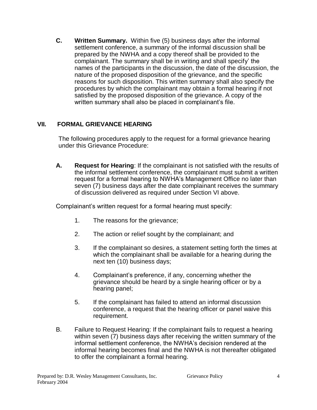**C. Written Summary.** Within five (5) business days after the informal settlement conference, a summary of the informal discussion shall be prepared by the NWHA and a copy thereof shall be provided to the complainant. The summary shall be in writing and shall specify' the names of the participants in the discussion, the date of the discussion, the nature of the proposed disposition of the grievance, and the specific reasons for such disposition. This written summary shall also specify the procedures by which the complainant may obtain a formal hearing if not satisfied by the proposed disposition of the grievance. A copy of the written summary shall also be placed in complainant's file.

#### **VII. FORMAL GRIEVANCE HEARING**

The following procedures apply to the request for a formal grievance hearing under this Grievance Procedure:

**A. Request for Hearing**: If the complainant is not satisfied with the results of the informal settlement conference, the complainant must submit a written request for a formal hearing to NWHA's Management Office no later than seven (7) business days after the date complainant receives the summary of discussion delivered as required under Section VI above.

Complainant's written request for a formal hearing must specify:

- 1. The reasons for the grievance;
- 2. The action or relief sought by the complainant; and
- 3. If the complainant so desires, a statement setting forth the times at which the complainant shall be available for a hearing during the next ten (10) business days;
- 4. Complainant's preference, if any, concerning whether the grievance should be heard by a single hearing officer or by a hearing panel;
- 5. If the complainant has failed to attend an informal discussion conference, a request that the hearing officer or panel waive this requirement.
- B. Failure to Request Hearing: If the complainant fails to request a hearing within seven (7) business days after receiving the written summary of the informal settlement conference, the NWHA's decision rendered at the informal hearing becomes final and the NWHA is not thereafter obligated to offer the complainant a formal hearing.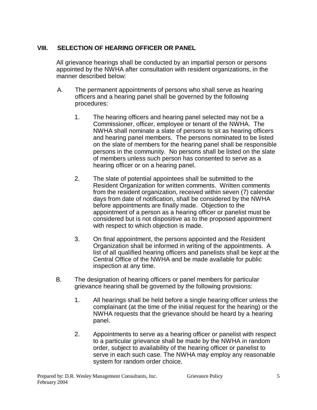# **VIII. SELECTION OF HEARING OFFICER OR PANEL**

All grievance hearings shall be conducted by an impartial person or persons appointed by the NWHA after consultation with resident organizations, in the manner described below:

- A. The permanent appointments of persons who shall serve as hearing officers and a hearing panel shall be governed by the following procedures:
	- 1. The hearing officers and hearing panel selected may not be a Commissioner, officer, employee or tenant of the NWHA. The NWHA shall nominate a slate of persons to sit as hearing officers and hearing panel members. The persons nominated to be listed on the slate of members for the hearing panel shall be responsible persons in the community. No persons shall be listed on the slate of members unless such person has consented to serve as a hearing officer or on a hearing panel.
	- 2. The slate of potential appointees shall be submitted to the Resident Organization for written comments. Written comments from the resident organization, received within seven (7) calendar days from date of notification, shall be considered by the NWHA before appointments are finally made. Objection to the appointment of a person as a hearing officer or panelist must be considered but is not dispositive as to the proposed appointment with respect to which objection is made.
	- 3. On final appointment, the persons appointed and the Resident Organization shall be informed in writing of the appointments. A list of all qualified hearing officers and panelists shall be kept at the Central Office of the NWHA and be made available for public inspection at any time.
- B. The designation of hearing officers or panel members for particular grievance hearing shall be governed by the following provisions:
	- 1. All hearings shall be held before a single hearing officer unless the complainant (at the time of the initial request for the hearing) or the NWHA requests that the grievance should be heard by a hearing panel.
	- 2. Appointments to serve as a hearing officer or panelist with respect to a particular grievance shall be made by the NWHA in random order, subject to availability of the hearing officer or panelist to serve in each such case. The NWHA may employ any reasonable system for random order choice.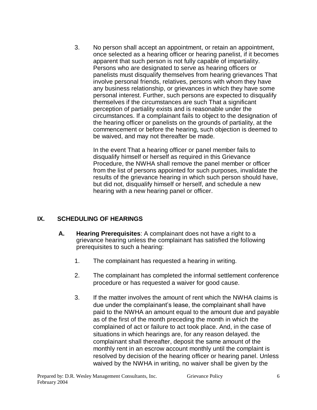3. No person shall accept an appointment, or retain an appointment, once selected as a hearing officer or hearing panelist, if it becomes apparent that such person is not fully capable of impartiality. Persons who are designated to serve as hearing officers or panelists must disqualify themselves from hearing grievances That involve personal friends, relatives, persons with whom they have any business relationship, or grievances in which they have some personal interest. Further, such persons are expected to disqualify themselves if the circumstances are such That a significant perception of partiality exists and is reasonable under the circumstances. If a complainant fails to object to the designation of the hearing officer or panelists on the grounds of partiality, at the commencement or before the hearing, such objection is deemed to be waived, and may not thereafter be made.

In the event That a hearing officer or panel member fails to disqualify himself or herself as required in this Grievance Procedure, the NWHA shall remove the panel member or officer from the list of persons appointed for such purposes, invalidate the results of the grievance hearing in which such person should have, but did not, disqualify himself or herself, and schedule a new hearing with a new hearing panel or officer.

#### **IX. SCHEDULING OF HEARINGS**

- **A. Hearing Prerequisites**: A complainant does not have a right to a grievance hearing unless the complainant has satisfied the following prerequisites to such a hearing:
	- 1. The complainant has requested a hearing in writing.
	- 2. The complainant has completed the informal settlement conference procedure or has requested a waiver for good cause.
	- 3. If the matter involves the amount of rent which the NWHA claims is due under the complainant's lease, the complainant shall have paid to the NWHA an amount equal to the amount due and payable as of the first of the month preceding the month in which the complained of act or failure to act took place. And, in the case of situations in which hearings are, for any reason delayed. the complainant shall thereafter, deposit the same amount of the monthly rent in an escrow account monthly until the complaint is resolved by decision of the hearing officer or hearing panel. Unless waived by the NWHA in writing, no waiver shall be given by the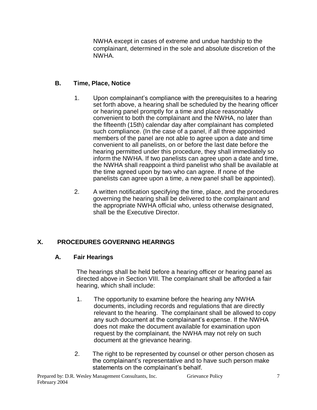NWHA except in cases of extreme and undue hardship to the complainant, determined in the sole and absolute discretion of the NWHA.

# **B. Time, Place, Notice**

- 1. Upon complainant's compliance with the prerequisites to a hearing set forth above, a hearing shall be scheduled by the hearing officer or hearing panel promptly for a time and place reasonably convenient to both the complainant and the NWHA, no later than the fifteenth (15th) calendar day after complainant has completed such compliance. (In the case of a panel, if all three appointed members of the panel are not able to agree upon a date and time convenient to all panelists, on or before the last date before the hearing permitted under this procedure, they shall immediately so inform the NWHA. If two panelists can agree upon a date and time, the NWHA shall reappoint a third panelist who shall be available at the time agreed upon by two who can agree. If none of the panelists can agree upon a time, a new panel shall be appointed).
- 2. A written notification specifying the time, place, and the procedures governing the hearing shall be delivered to the complainant and the appropriate NWHA official who, unless otherwise designated, shall be the Executive Director.

# **X. PROCEDURES GOVERNING HEARINGS**

# **A. Fair Hearings**

The hearings shall be held before a hearing officer or hearing panel as directed above in Section VIII. The complainant shall be afforded a fair hearing, which shall include:

- 1. The opportunity to examine before the hearing any NWHA documents, including records and regulations that are directly relevant to the hearing. The complainant shall be allowed to copy any such document at the complainant's expense. If the NWHA does not make the document available for examination upon request by the complainant, the NWHA may not rely on such document at the grievance hearing.
- 2. The right to be represented by counsel or other person chosen as the complainant's representative and to have such person make statements on the complainant's behalf.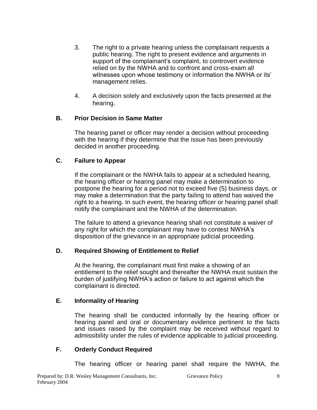- 3. The right to a private hearing unless the complainant requests a public hearing. The right to present evidence and arguments in support of the complainant's complaint, to controvert evidence relied on by the NWHA and to confront and cross-exam all witnesses upon whose testimony or information the NWHA or its' management relies.
- 4. A decision solely and exclusively upon the facts presented at the hearing.

#### **B. Prior Decision in Same Matter**

The hearing panel or officer may render a decision without proceeding with the hearing if they determine that the issue has been previously decided in another proceeding.

#### **C. Failure to Appear**

If the complainant or the NWHA fails to appear at a scheduled hearing, the hearing officer or hearing panel may make a determination to postpone the hearing for a period not to exceed five (5) business days, or may make a determination that the party failing to attend has waived the right to a hearing. In such event, the hearing officer or hearing panel shall notify the complainant and the NWHA of the determination.

The failure to attend a grievance hearing shall not constitute a waiver of any right for which the complainant may have to contest NWHA's disposition of the grievance in an appropriate judicial proceeding.

#### **D. Required Showing of Entitlement to Relief**

At the hearing, the complainant must first make a showing of an entitlement to the relief sought and thereafter the NWHA must sustain the burden of justifying NWHA's action or failure to act against which the complainant is directed.

#### **E. Informality of Hearing**

The hearing shall be conducted informally by the hearing officer or hearing panel and oral or documentary evidence pertinent to the facts and issues raised by the complaint may be received without regard to admissibility under the rules of evidence applicable to judicial proceeding.

#### **F. Orderly Conduct Required**

The hearing officer or hearing panel shall require the NWHA, the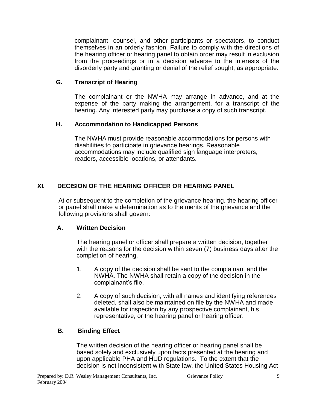complainant, counsel, and other participants or spectators, to conduct themselves in an orderly fashion. Failure to comply with the directions of the hearing officer or hearing panel to obtain order may result in exclusion from the proceedings or in a decision adverse to the interests of the disorderly party and granting or denial of the relief sought, as appropriate.

## **G. Transcript of Hearing**

The complainant or the NWHA may arrange in advance, and at the expense of the party making the arrangement, for a transcript of the hearing. Any interested party may purchase a copy of such transcript.

#### **H. Accommodation to Handicapped Persons**

The NWHA must provide reasonable accommodations for persons with disabilities to participate in grievance hearings. Reasonable accommodations may include qualified sign language interpreters, readers, accessible locations, or attendants.

# **XI. DECISION OF THE HEARING OFFICER OR HEARING PANEL**

At or subsequent to the completion of the grievance hearing, the hearing officer or panel shall make a determination as to the merits of the grievance and the following provisions shall govern:

#### **A. Written Decision**

The hearing panel or officer shall prepare a written decision, together with the reasons for the decision within seven (7) business days after the completion of hearing.

- 1. A copy of the decision shall be sent to the complainant and the NWHA. The NWHA shall retain a copy of the decision in the complainant's file.
- 2. A copy of such decision, with all names and identifying references deleted, shall also be maintained on file by the NWHA and made available for inspection by any prospective complainant, his representative, or the hearing panel or hearing officer.

# **B. Binding Effect**

The written decision of the hearing officer or hearing panel shall be based solely and exclusively upon facts presented at the hearing and upon applicable PHA and HUD regulations. To the extent that the decision is not inconsistent with State law, the United States Housing Act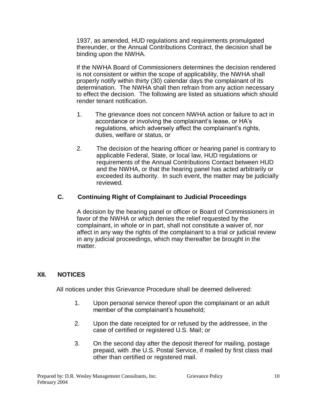1937, as amended, HUD regulations and requirements promulgated thereunder, or the Annual Contributions Contract, the decision shall be binding upon the NWHA.

If the NWHA Board of Commissioners determines the decision rendered is not consistent or within the scope of applicability, the NWHA shall properly notify within thirty (30) calendar days the complainant of its determination. The NWHA shall then refrain from any action necessary to effect the decision. The following are listed as situations which should render tenant notification.

- 1. The grievance does not concern NWHA action or failure to act in accordance or involving the complainant's lease, or HA's regulations, which adversely affect the complainant's rights, duties, welfare or status, or
- 2. The decision of the hearing officer or hearing panel is contrary to applicable Federal, State, or local law, HUD regulations or requirements of the Annual Contributions Contact between HUD and the NWHA, or that the hearing panel has acted arbitrarily or exceeded its authority. In such event, the matter may be judicially reviewed.

# **C. Continuing Right of Complainant to Judicial Proceedings**

A decision by the hearing panel or officer or Board of Commissioners in favor of the NWHA or which denies the relief requested by the complainant, in whole or in part, shall not constitute a waiver of, nor affect in any way the rights of the complainant to a trial or judicial review in any judicial proceedings, which may thereafter be brought in the matter.

#### **XII. NOTICES**

All notices under this Grievance Procedure shall be deemed delivered:

- 1. Upon personal service thereof upon the complainant or an adult member of the complainant's household;
- 2. Upon the date receipted for or refused by the addressee, in the case of certified or registered U.S. Mail; or
- 3. On the second day after the deposit thereof for mailing, postage prepaid, with .the U.S. Postal Service, if mailed by first class mail other than certified or registered mail.